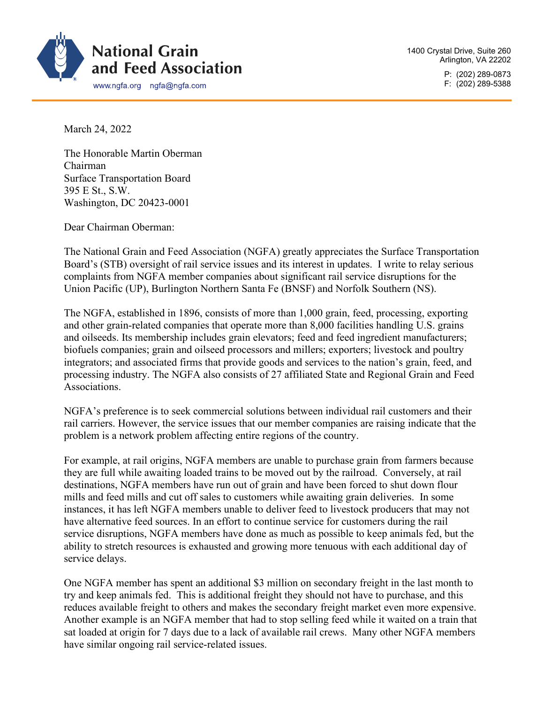

P: (202) 289-0873 F: (202) 289-5388

March 24, 2022

The Honorable Martin Oberman Chairman Surface Transportation Board 395 E St., S.W. Washington, DC 20423-0001

Dear Chairman Oberman:

The National Grain and Feed Association (NGFA) greatly appreciates the Surface Transportation Board's (STB) oversight of rail service issues and its interest in updates. I write to relay serious complaints from NGFA member companies about significant rail service disruptions for the Union Pacific (UP), Burlington Northern Santa Fe (BNSF) and Norfolk Southern (NS).

The NGFA, established in 1896, consists of more than 1,000 grain, feed, processing, exporting and other grain-related companies that operate more than 8,000 facilities handling U.S. grains and oilseeds. Its membership includes grain elevators; feed and feed ingredient manufacturers; biofuels companies; grain and oilseed processors and millers; exporters; livestock and poultry integrators; and associated firms that provide goods and services to the nation's grain, feed, and processing industry. The NGFA also consists of 27 affiliated State and Regional Grain and Feed Associations.

NGFA's preference is to seek commercial solutions between individual rail customers and their rail carriers. However, the service issues that our member companies are raising indicate that the problem is a network problem affecting entire regions of the country.

For example, at rail origins, NGFA members are unable to purchase grain from farmers because they are full while awaiting loaded trains to be moved out by the railroad. Conversely, at rail destinations, NGFA members have run out of grain and have been forced to shut down flour mills and feed mills and cut off sales to customers while awaiting grain deliveries. In some instances, it has left NGFA members unable to deliver feed to livestock producers that may not have alternative feed sources. In an effort to continue service for customers during the rail service disruptions, NGFA members have done as much as possible to keep animals fed, but the ability to stretch resources is exhausted and growing more tenuous with each additional day of service delays.

One NGFA member has spent an additional \$3 million on secondary freight in the last month to try and keep animals fed. This is additional freight they should not have to purchase, and this reduces available freight to others and makes the secondary freight market even more expensive. Another example is an NGFA member that had to stop selling feed while it waited on a train that sat loaded at origin for 7 days due to a lack of available rail crews. Many other NGFA members have similar ongoing rail service-related issues.